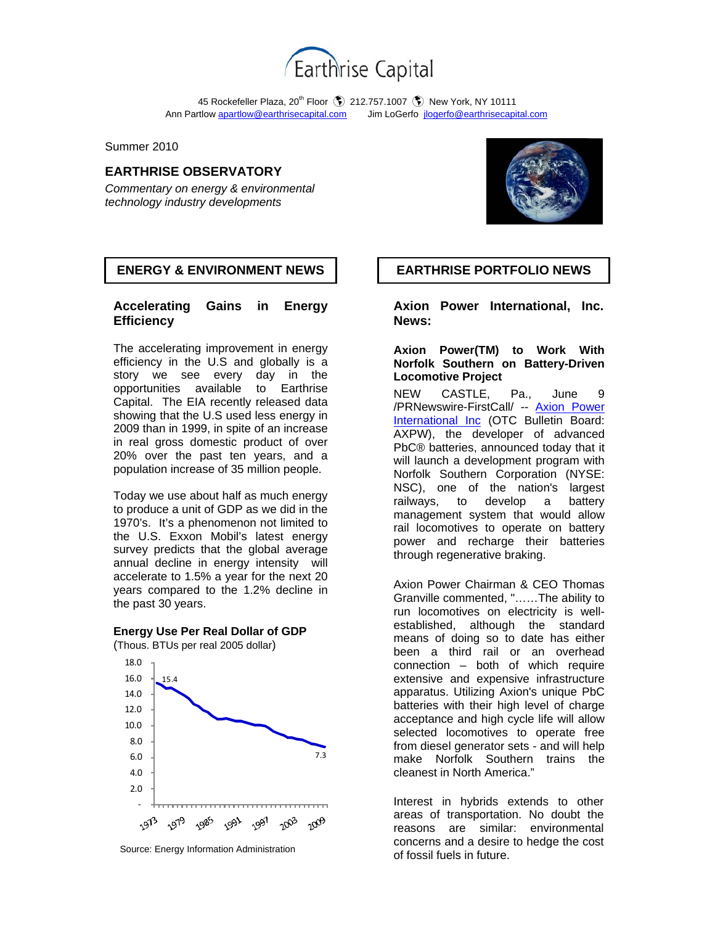

45 Rockefeller Plaza, 20<sup>th</sup> Floor (\$) 212.757.1007 (\$) New York, NY 10111 Ann Partlow apartlow@earthrisecapital.comJim LoGerfo jlogerfo@earthrisecapital.com

Summer 2010

## **EARTHRISE OBSERVATORY**

*Commentary on energy & environmental technology industry developments*



## **ENERGY & ENVIRONMENT NEWS | EARTHRISE PORTFOLIO NEWS**

## **Accelerating Gains in Energy Efficiency**

The accelerating improvement in energy efficiency in the U.S and globally is a story we see every day in the opportunities available to Earthrise Capital. The EIA recently released data showing that the U.S used less energy in 2009 than in 1999, in spite of an increase in real gross domestic product of over 20% over the past ten years, and a population increase of 35 million people.

Today we use about half as much energy to produce a unit of GDP as we did in the 1970's. It's a phenomenon not limited to the U.S. Exxon Mobil's latest energy survey predicts that the global average annual decline in energy intensity will accelerate to 1.5% a year for the next 20 years compared to the 1.2% decline in the past 30 years.

### **Energy Use Per Real Dollar of GDP**

(Thous. BTUs per real 2005 dollar)



Source: Energy Information Administration

**Axion Power International, Inc. News:** 

### **Axion Power(TM) to Work With Norfolk Southern on Battery-Driven Locomotive Project**

NEW CASTLE, Pa., June 9 /PRNewswire-FirstCall/ -- Axion Power International Inc (OTC Bulletin Board: AXPW), the developer of advanced PbC® batteries, announced today that it will launch a development program with Norfolk Southern Corporation (NYSE: NSC), one of the nation's largest railways, to develop a battery management system that would allow rail locomotives to operate on battery power and recharge their batteries through regenerative braking.

Axion Power Chairman & CEO Thomas Granville commented, "……The ability to run locomotives on electricity is wellestablished, although the standard means of doing so to date has either been a third rail or an overhead connection – both of which require extensive and expensive infrastructure apparatus. Utilizing Axion's unique PbC batteries with their high level of charge acceptance and high cycle life will allow selected locomotives to operate free from diesel generator sets - and will help make Norfolk Southern trains the cleanest in North America."

Interest in hybrids extends to other areas of transportation. No doubt the reasons are similar: environmental concerns and a desire to hedge the cost of fossil fuels in future.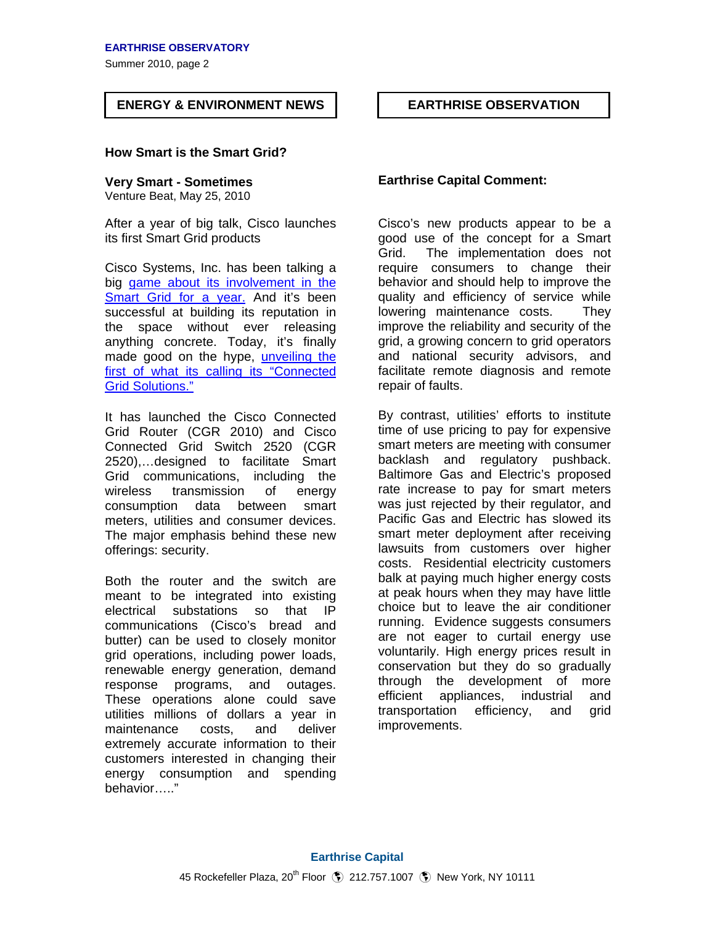Summer 2010, page 2

# **ENERGY & ENVIRONMENT NEWS EARTHRISE OBSERVATION**

## **How Smart is the Smart Grid?**

Venture Beat, May 25, 2010

After a year of big talk, Cisco launches its first Smart Grid products

Cisco Systems, Inc. has been talking a big game about its involvement in the Smart Grid for a year. And it's been successful at building its reputation in the space without ever releasing anything concrete. Today, it's finally made good on the hype, unveiling the first of what its calling its "Connected Grid Solutions."

It has launched the Cisco Connected Grid Router (CGR 2010) and Cisco Connected Grid Switch 2520 (CGR 2520),…designed to facilitate Smart Grid communications, including the wireless transmission of energy consumption data between smart meters, utilities and consumer devices. The major emphasis behind these new offerings: security.

Both the router and the switch are meant to be integrated into existing electrical substations so that IP communications (Cisco's bread and butter) can be used to closely monitor grid operations, including power loads, renewable energy generation, demand response programs, and outages. These operations alone could save utilities millions of dollars a year in maintenance costs, and deliver extremely accurate information to their customers interested in changing their energy consumption and spending behavior….."

# **Very Smart - Sometimes Earthrise Capital Comment:**

ŕ

Cisco's new products appear to be a good use of the concept for a Smart Grid. The implementation does not require consumers to change their behavior and should help to improve the quality and efficiency of service while lowering maintenance costs. They improve the reliability and security of the grid, a growing concern to grid operators and national security advisors, and facilitate remote diagnosis and remote repair of faults.

By contrast, utilities' efforts to institute time of use pricing to pay for expensive smart meters are meeting with consumer backlash and regulatory pushback. Baltimore Gas and Electric's proposed rate increase to pay for smart meters was just rejected by their regulator, and Pacific Gas and Electric has slowed its smart meter deployment after receiving lawsuits from customers over higher costs. Residential electricity customers balk at paying much higher energy costs at peak hours when they may have little choice but to leave the air conditioner running. Evidence suggests consumers are not eager to curtail energy use voluntarily. High energy prices result in conservation but they do so gradually through the development of more efficient appliances, industrial and transportation efficiency, and grid improvements.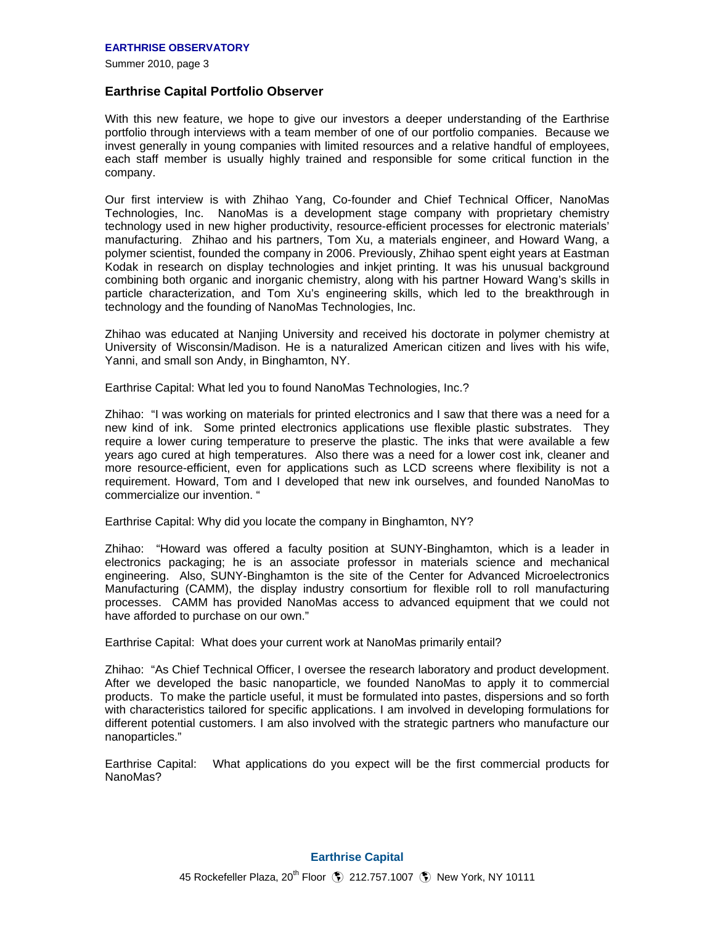Summer 2010, page 3

## **Earthrise Capital Portfolio Observer**

With this new feature, we hope to give our investors a deeper understanding of the Earthrise portfolio through interviews with a team member of one of our portfolio companies. Because we invest generally in young companies with limited resources and a relative handful of employees, each staff member is usually highly trained and responsible for some critical function in the company.

Our first interview is with Zhihao Yang, Co-founder and Chief Technical Officer, NanoMas Technologies, Inc. NanoMas is a development stage company with proprietary chemistry technology used in new higher productivity, resource-efficient processes for electronic materials' manufacturing. Zhihao and his partners, Tom Xu, a materials engineer, and Howard Wang, a polymer scientist, founded the company in 2006. Previously, Zhihao spent eight years at Eastman Kodak in research on display technologies and inkjet printing. It was his unusual background combining both organic and inorganic chemistry, along with his partner Howard Wang's skills in particle characterization, and Tom Xu's engineering skills, which led to the breakthrough in technology and the founding of NanoMas Technologies, Inc.

Zhihao was educated at Nanjing University and received his doctorate in polymer chemistry at University of Wisconsin/Madison. He is a naturalized American citizen and lives with his wife, Yanni, and small son Andy, in Binghamton, NY.

Earthrise Capital: What led you to found NanoMas Technologies, Inc.?

Zhihao: "I was working on materials for printed electronics and I saw that there was a need for a new kind of ink. Some printed electronics applications use flexible plastic substrates. They require a lower curing temperature to preserve the plastic. The inks that were available a few years ago cured at high temperatures. Also there was a need for a lower cost ink, cleaner and more resource-efficient, even for applications such as LCD screens where flexibility is not a requirement. Howard, Tom and I developed that new ink ourselves, and founded NanoMas to commercialize our invention. "

Earthrise Capital: Why did you locate the company in Binghamton, NY?

Zhihao: "Howard was offered a faculty position at SUNY-Binghamton, which is a leader in electronics packaging; he is an associate professor in materials science and mechanical engineering. Also, SUNY-Binghamton is the site of the Center for Advanced Microelectronics Manufacturing (CAMM), the display industry consortium for flexible roll to roll manufacturing processes. CAMM has provided NanoMas access to advanced equipment that we could not have afforded to purchase on our own."

Earthrise Capital: What does your current work at NanoMas primarily entail?

Zhihao: "As Chief Technical Officer, I oversee the research laboratory and product development. After we developed the basic nanoparticle, we founded NanoMas to apply it to commercial products. To make the particle useful, it must be formulated into pastes, dispersions and so forth with characteristics tailored for specific applications. I am involved in developing formulations for different potential customers. I am also involved with the strategic partners who manufacture our nanoparticles."

Earthrise Capital: What applications do you expect will be the first commercial products for NanoMas?